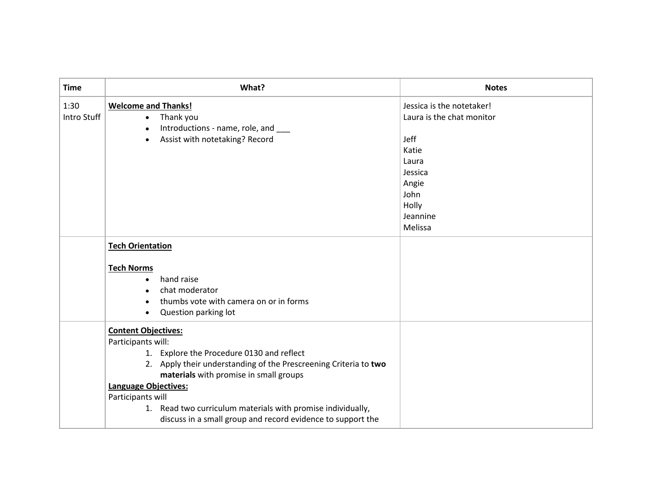| <b>Time</b>         | What?                                                                                                                                                                                                                                                                                                                                                                                  | <b>Notes</b>                                                                                                                                 |
|---------------------|----------------------------------------------------------------------------------------------------------------------------------------------------------------------------------------------------------------------------------------------------------------------------------------------------------------------------------------------------------------------------------------|----------------------------------------------------------------------------------------------------------------------------------------------|
| 1:30<br>Intro Stuff | <b>Welcome and Thanks!</b><br>Thank you<br>$\bullet$<br>Introductions - name, role, and<br>$\bullet$<br>Assist with notetaking? Record<br>$\bullet$                                                                                                                                                                                                                                    | Jessica is the notetaker!<br>Laura is the chat monitor<br>Jeff<br>Katie<br>Laura<br>Jessica<br>Angie<br>John<br>Holly<br>Jeannine<br>Melissa |
|                     | <b>Tech Orientation</b><br><b>Tech Norms</b><br>hand raise<br>$\bullet$<br>chat moderator<br>thumbs vote with camera on or in forms<br>Question parking lot<br>$\bullet$                                                                                                                                                                                                               |                                                                                                                                              |
|                     | <b>Content Objectives:</b><br>Participants will:<br>1. Explore the Procedure 0130 and reflect<br>2. Apply their understanding of the Prescreening Criteria to two<br>materials with promise in small groups<br>Language Objectives:<br>Participants will<br>1. Read two curriculum materials with promise individually,<br>discuss in a small group and record evidence to support the |                                                                                                                                              |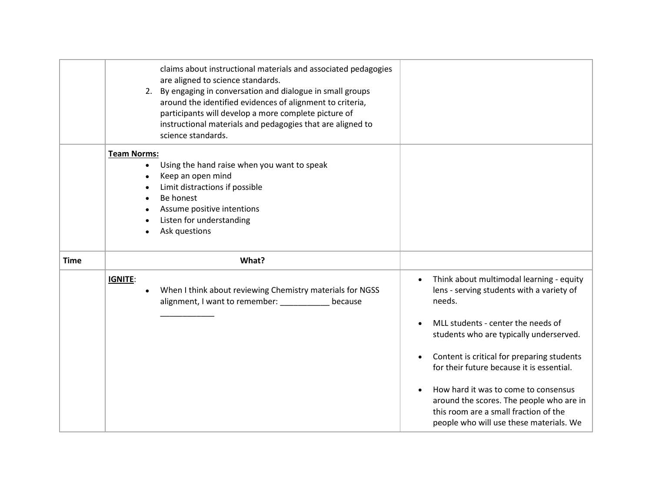|             |                                 | claims about instructional materials and associated pedagogies<br>are aligned to science standards.<br>2. By engaging in conversation and dialogue in small groups<br>around the identified evidences of alignment to criteria,<br>participants will develop a more complete picture of<br>instructional materials and pedagogies that are aligned to<br>science standards. |                                                                                                                                                                                                                                                                                                                                                                                                                                                                               |
|-------------|---------------------------------|-----------------------------------------------------------------------------------------------------------------------------------------------------------------------------------------------------------------------------------------------------------------------------------------------------------------------------------------------------------------------------|-------------------------------------------------------------------------------------------------------------------------------------------------------------------------------------------------------------------------------------------------------------------------------------------------------------------------------------------------------------------------------------------------------------------------------------------------------------------------------|
|             | <b>Team Norms:</b><br>$\bullet$ | Using the hand raise when you want to speak<br>Keep an open mind<br>Limit distractions if possible<br>Be honest<br>Assume positive intentions<br>Listen for understanding<br>Ask questions                                                                                                                                                                                  |                                                                                                                                                                                                                                                                                                                                                                                                                                                                               |
| <b>Time</b> |                                 | What?                                                                                                                                                                                                                                                                                                                                                                       |                                                                                                                                                                                                                                                                                                                                                                                                                                                                               |
|             | IGNITE:<br>$\bullet$            | When I think about reviewing Chemistry materials for NGSS<br>alignment, I want to remember:<br>because                                                                                                                                                                                                                                                                      | Think about multimodal learning - equity<br>$\bullet$<br>lens - serving students with a variety of<br>needs.<br>MLL students - center the needs of<br>students who are typically underserved.<br>Content is critical for preparing students<br>for their future because it is essential.<br>How hard it was to come to consensus<br>$\bullet$<br>around the scores. The people who are in<br>this room are a small fraction of the<br>people who will use these materials. We |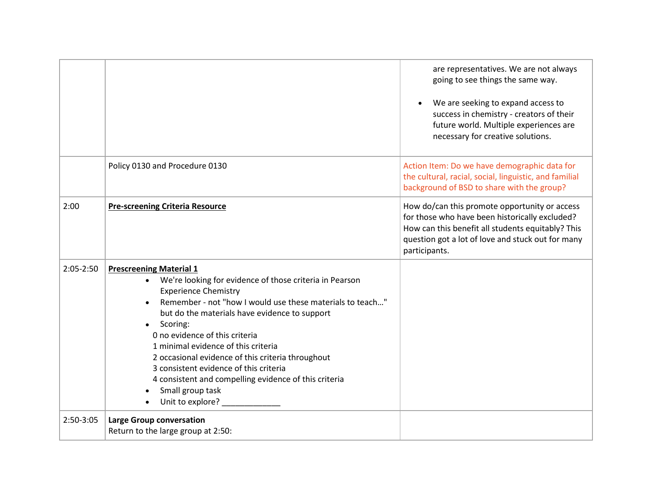|           |                                                                                                                                                                                                                                                                                                                                                                                                                                                                                                                               | are representatives. We are not always<br>going to see things the same way.<br>We are seeking to expand access to<br>$\bullet$<br>success in chemistry - creators of their<br>future world. Multiple experiences are<br>necessary for creative solutions. |
|-----------|-------------------------------------------------------------------------------------------------------------------------------------------------------------------------------------------------------------------------------------------------------------------------------------------------------------------------------------------------------------------------------------------------------------------------------------------------------------------------------------------------------------------------------|-----------------------------------------------------------------------------------------------------------------------------------------------------------------------------------------------------------------------------------------------------------|
|           | Policy 0130 and Procedure 0130                                                                                                                                                                                                                                                                                                                                                                                                                                                                                                | Action Item: Do we have demographic data for<br>the cultural, racial, social, linguistic, and familial<br>background of BSD to share with the group?                                                                                                      |
| 2:00      | <b>Pre-screening Criteria Resource</b>                                                                                                                                                                                                                                                                                                                                                                                                                                                                                        | How do/can this promote opportunity or access<br>for those who have been historically excluded?<br>How can this benefit all students equitably? This<br>question got a lot of love and stuck out for many<br>participants.                                |
| 2:05-2:50 | <b>Prescreening Material 1</b><br>• We're looking for evidence of those criteria in Pearson<br><b>Experience Chemistry</b><br>Remember - not "how I would use these materials to teach"<br>but do the materials have evidence to support<br>Scoring:<br>0 no evidence of this criteria<br>1 minimal evidence of this criteria<br>2 occasional evidence of this criteria throughout<br>3 consistent evidence of this criteria<br>4 consistent and compelling evidence of this criteria<br>Small group task<br>Unit to explore? |                                                                                                                                                                                                                                                           |
| 2:50-3:05 | <b>Large Group conversation</b><br>Return to the large group at 2:50:                                                                                                                                                                                                                                                                                                                                                                                                                                                         |                                                                                                                                                                                                                                                           |